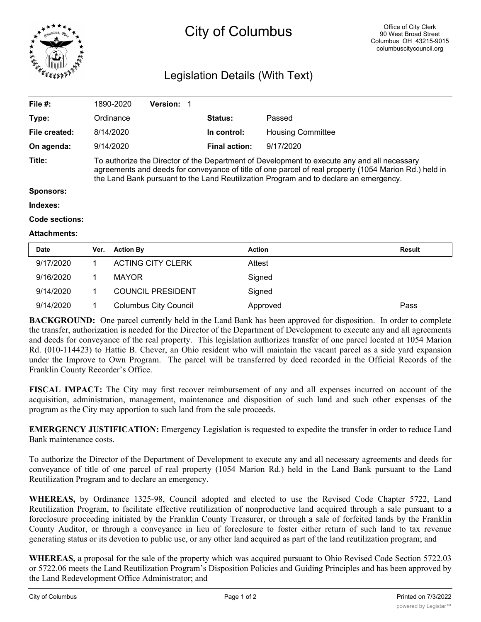

## City of Columbus

## Legislation Details (With Text)

| File $#$ :          |      | 1890-2020                                                                                                                                                                                                                                                                                     | <b>Version:</b>          |  |                      |                          |               |  |  |  |  |  |
|---------------------|------|-----------------------------------------------------------------------------------------------------------------------------------------------------------------------------------------------------------------------------------------------------------------------------------------------|--------------------------|--|----------------------|--------------------------|---------------|--|--|--|--|--|
| Type:               |      | Ordinance                                                                                                                                                                                                                                                                                     |                          |  | <b>Status:</b>       | Passed                   |               |  |  |  |  |  |
| File created:       |      | 8/14/2020                                                                                                                                                                                                                                                                                     |                          |  | In control:          | <b>Housing Committee</b> |               |  |  |  |  |  |
| On agenda:          |      | 9/14/2020                                                                                                                                                                                                                                                                                     |                          |  | <b>Final action:</b> | 9/17/2020                |               |  |  |  |  |  |
| Title:              |      | To authorize the Director of the Department of Development to execute any and all necessary<br>agreements and deeds for conveyance of title of one parcel of real property (1054 Marion Rd.) held in<br>the Land Bank pursuant to the Land Reutilization Program and to declare an emergency. |                          |  |                      |                          |               |  |  |  |  |  |
| <b>Sponsors:</b>    |      |                                                                                                                                                                                                                                                                                               |                          |  |                      |                          |               |  |  |  |  |  |
| Indexes:            |      |                                                                                                                                                                                                                                                                                               |                          |  |                      |                          |               |  |  |  |  |  |
| Code sections:      |      |                                                                                                                                                                                                                                                                                               |                          |  |                      |                          |               |  |  |  |  |  |
| <b>Attachments:</b> |      |                                                                                                                                                                                                                                                                                               |                          |  |                      |                          |               |  |  |  |  |  |
| <b>Date</b>         | Ver. | <b>Action By</b>                                                                                                                                                                                                                                                                              |                          |  | <b>Action</b>        |                          | <b>Result</b> |  |  |  |  |  |
| 9/17/2020           |      |                                                                                                                                                                                                                                                                                               | <b>ACTING CITY CLERK</b> |  | Attest               |                          |               |  |  |  |  |  |

| 9/17/2020 | ACTING CITY CLERK            | Attest   |      |
|-----------|------------------------------|----------|------|
| 9/16/2020 | <b>MAYOR</b>                 | Signed   |      |
| 9/14/2020 | <b>COUNCIL PRESIDENT</b>     | Signed   |      |
| 9/14/2020 | <b>Columbus City Council</b> | Approved | Pass |

**BACKGROUND:** One parcel currently held in the Land Bank has been approved for disposition. In order to complete the transfer, authorization is needed for the Director of the Department of Development to execute any and all agreements and deeds for conveyance of the real property. This legislation authorizes transfer of one parcel located at 1054 Marion Rd. (010-114423) to Hattie B. Chever, an Ohio resident who will maintain the vacant parcel as a side yard expansion under the Improve to Own Program. The parcel will be transferred by deed recorded in the Official Records of the Franklin County Recorder's Office.

**FISCAL IMPACT:** The City may first recover reimbursement of any and all expenses incurred on account of the acquisition, administration, management, maintenance and disposition of such land and such other expenses of the program as the City may apportion to such land from the sale proceeds.

**EMERGENCY JUSTIFICATION:** Emergency Legislation is requested to expedite the transfer in order to reduce Land Bank maintenance costs.

To authorize the Director of the Department of Development to execute any and all necessary agreements and deeds for conveyance of title of one parcel of real property (1054 Marion Rd.) held in the Land Bank pursuant to the Land Reutilization Program and to declare an emergency.

**WHEREAS,** by Ordinance 1325-98, Council adopted and elected to use the Revised Code Chapter 5722, Land Reutilization Program, to facilitate effective reutilization of nonproductive land acquired through a sale pursuant to a foreclosure proceeding initiated by the Franklin County Treasurer, or through a sale of forfeited lands by the Franklin County Auditor, or through a conveyance in lieu of foreclosure to foster either return of such land to tax revenue generating status or its devotion to public use, or any other land acquired as part of the land reutilization program; and

**WHEREAS,** a proposal for the sale of the property which was acquired pursuant to Ohio Revised Code Section 5722.03 or 5722.06 meets the Land Reutilization Program's Disposition Policies and Guiding Principles and has been approved by the Land Redevelopment Office Administrator; and